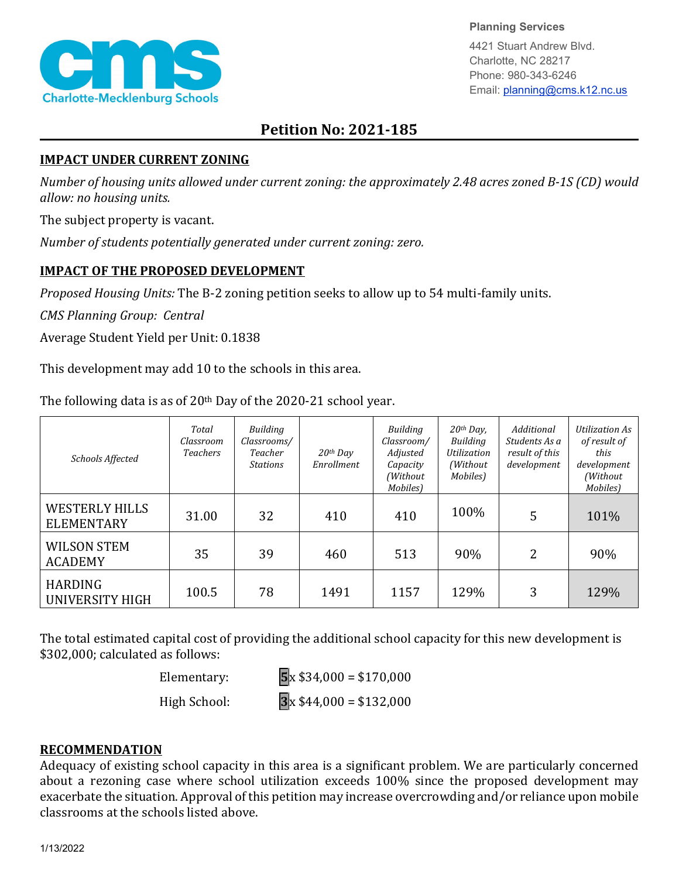

**Planning Services**

4421 Stuart Andrew Blvd. Charlotte, NC 28217 Phone: 980-343-6246 Email: planning@cms.k12.nc.us

## **Petition No: 2021-185**

## **IMPACT UNDER CURRENT ZONING**

*Number of housing units allowed under current zoning: the approximately 2.48 acres zoned B-1S (CD) would allow: no housing units.*

The subject property is vacant.

*Number of students potentially generated under current zoning: zero.*

## **IMPACT OF THE PROPOSED DEVELOPMENT**

*Proposed Housing Units:* The B-2 zoning petition seeks to allow up to 54 multi-family units.

*CMS Planning Group: Central*

Average Student Yield per Unit: 0.1838

This development may add 10 to the schools in this area.

The following data is as of  $20<sup>th</sup>$  Day of the 2020-21 school year.

| Schools Affected                           | Total<br>Classroom<br><b>Teachers</b> | Building<br>Classrooms/<br>Teacher<br><b>Stations</b> | $20$ <sup>th</sup> Day<br>Enrollment | Building<br>Classroom/<br>Adjusted<br>Capacity<br>(Without<br>Mobiles) | $20th$ Day,<br><b>Building</b><br>Utilization<br>(Without)<br>Mobiles) | Additional<br>Students As a<br>result of this<br>development | Utilization As<br>of result of<br>this<br>development<br>(Without<br>Mobiles) |
|--------------------------------------------|---------------------------------------|-------------------------------------------------------|--------------------------------------|------------------------------------------------------------------------|------------------------------------------------------------------------|--------------------------------------------------------------|-------------------------------------------------------------------------------|
| <b>WESTERLY HILLS</b><br><b>ELEMENTARY</b> | 31.00                                 | 32                                                    | 410                                  | 410                                                                    | 100%                                                                   | 5                                                            | 101%                                                                          |
| <b>WILSON STEM</b><br><b>ACADEMY</b>       | 35                                    | 39                                                    | 460                                  | 513                                                                    | 90%                                                                    | 2                                                            | 90%                                                                           |
| <b>HARDING</b><br>UNIVERSITY HIGH          | 100.5                                 | 78                                                    | 1491                                 | 1157                                                                   | 129%                                                                   | 3                                                            | 129%                                                                          |

The total estimated capital cost of providing the additional school capacity for this new development is \$302,000; calculated as follows:

Elementary: **5**x \$34,000 = \$170,000

High School: **3**x \$44,000 = \$132,000

## **RECOMMENDATION**

Adequacy of existing school capacity in this area is a significant problem. We are particularly concerned about a rezoning case where school utilization exceeds 100% since the proposed development may exacerbate the situation. Approval of this petition may increase overcrowding and/or reliance upon mobile classrooms at the schools listed above.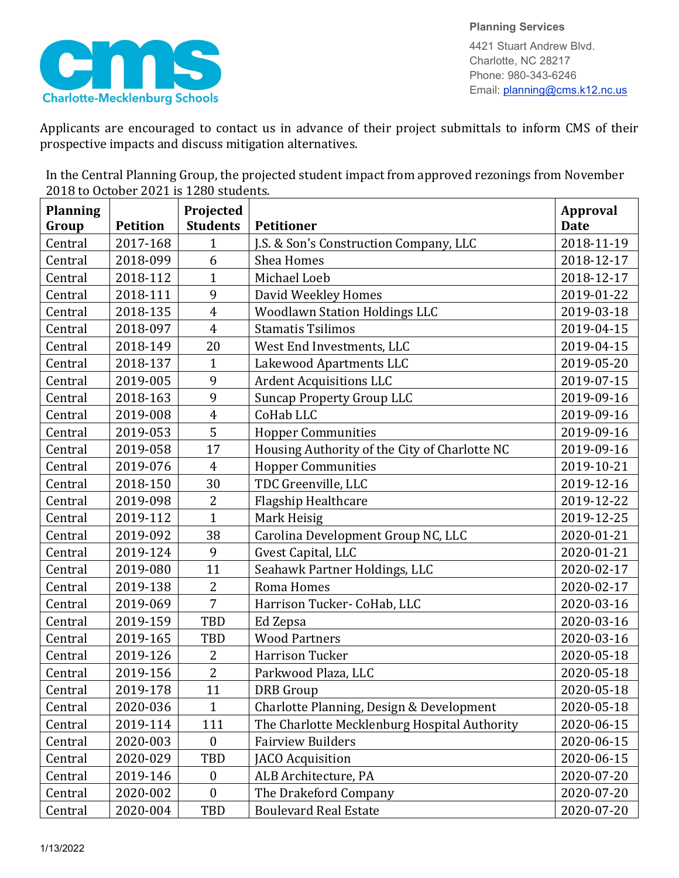

Applicants are encouraged to contact us in advance of their project submittals to inform CMS of their prospective impacts and discuss mitigation alternatives.

In the Central Planning Group, the projected student impact from approved rezonings from November 2018 to October 2021 is 1280 students.

| <b>Planning</b> |                 | Projected        |                                               | <b>Approval</b> |
|-----------------|-----------------|------------------|-----------------------------------------------|-----------------|
| Group           | <b>Petition</b> | <b>Students</b>  | <b>Petitioner</b>                             | <b>Date</b>     |
| Central         | 2017-168        | $\mathbf{1}$     | J.S. & Son's Construction Company, LLC        | 2018-11-19      |
| Central         | 2018-099        | 6                | <b>Shea Homes</b>                             | 2018-12-17      |
| Central         | 2018-112        | $\mathbf{1}$     | Michael Loeb                                  | 2018-12-17      |
| Central         | 2018-111        | 9                | David Weekley Homes                           | 2019-01-22      |
| Central         | 2018-135        | $\overline{4}$   | <b>Woodlawn Station Holdings LLC</b>          | 2019-03-18      |
| Central         | 2018-097        | $\overline{4}$   | <b>Stamatis Tsilimos</b>                      | 2019-04-15      |
| Central         | 2018-149        | 20               | West End Investments, LLC                     | 2019-04-15      |
| Central         | 2018-137        | $\mathbf{1}$     | Lakewood Apartments LLC                       | 2019-05-20      |
| Central         | 2019-005        | 9                | <b>Ardent Acquisitions LLC</b>                | 2019-07-15      |
| Central         | 2018-163        | 9                | <b>Suncap Property Group LLC</b>              | 2019-09-16      |
| Central         | 2019-008        | $\overline{4}$   | CoHab LLC                                     | 2019-09-16      |
| Central         | 2019-053        | 5                | <b>Hopper Communities</b>                     | 2019-09-16      |
| Central         | 2019-058        | 17               | Housing Authority of the City of Charlotte NC | 2019-09-16      |
| Central         | 2019-076        | $\overline{4}$   | <b>Hopper Communities</b>                     | 2019-10-21      |
| Central         | 2018-150        | 30               | TDC Greenville, LLC                           | 2019-12-16      |
| Central         | 2019-098        | $\overline{2}$   | Flagship Healthcare                           | 2019-12-22      |
| Central         | 2019-112        | $\mathbf{1}$     | Mark Heisig                                   | 2019-12-25      |
| Central         | 2019-092        | 38               | Carolina Development Group NC, LLC            | 2020-01-21      |
| Central         | 2019-124        | 9                | Gvest Capital, LLC                            | 2020-01-21      |
| Central         | 2019-080        | 11               | Seahawk Partner Holdings, LLC                 | 2020-02-17      |
| Central         | 2019-138        | $\overline{2}$   | Roma Homes                                    | 2020-02-17      |
| Central         | 2019-069        | 7                | Harrison Tucker- CoHab, LLC                   | 2020-03-16      |
| Central         | 2019-159        | TBD              | Ed Zepsa                                      | 2020-03-16      |
| Central         | 2019-165        | <b>TBD</b>       | <b>Wood Partners</b>                          | 2020-03-16      |
| Central         | 2019-126        | $\overline{2}$   | <b>Harrison Tucker</b>                        | 2020-05-18      |
| Central         | 2019-156        | $\overline{2}$   | Parkwood Plaza, LLC                           | 2020-05-18      |
| Central         | 2019-178        | 11               | <b>DRB</b> Group                              | 2020-05-18      |
| Central         | 2020-036        | $\mathbf{1}$     | Charlotte Planning, Design & Development      | 2020-05-18      |
| Central         | 2019-114        | 111              | The Charlotte Mecklenburg Hospital Authority  | 2020-06-15      |
| Central         | 2020-003        | $\boldsymbol{0}$ | <b>Fairview Builders</b>                      | 2020-06-15      |
| Central         | 2020-029        | TBD              | JACO Acquisition                              | 2020-06-15      |
| Central         | 2019-146        | $\boldsymbol{0}$ | ALB Architecture, PA                          | 2020-07-20      |
| Central         | 2020-002        | $\boldsymbol{0}$ | The Drakeford Company                         | 2020-07-20      |
| Central         | 2020-004        | TBD              | <b>Boulevard Real Estate</b>                  | 2020-07-20      |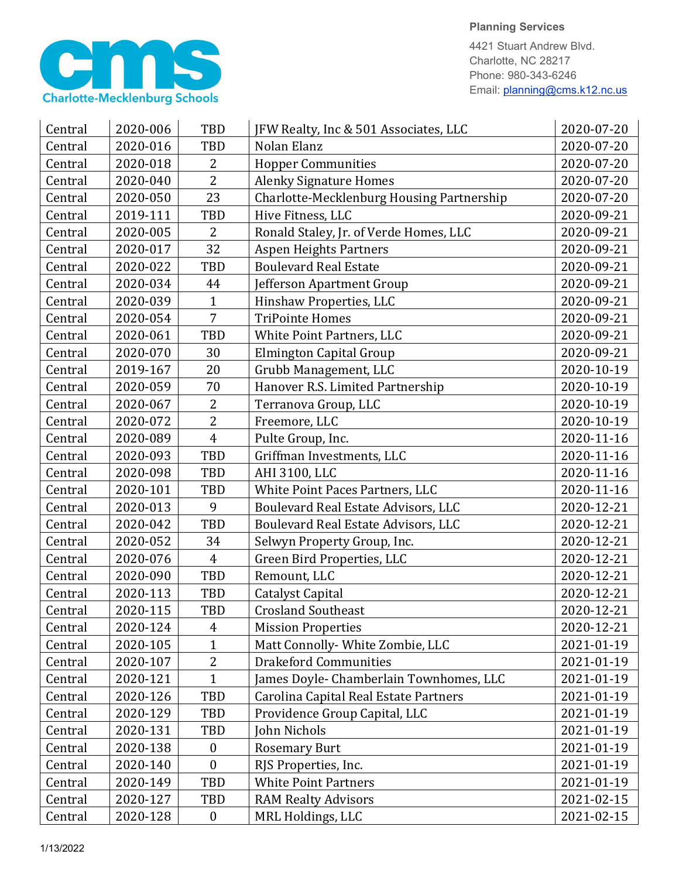

4421 Stuart Andrew Blvd. Charlotte, NC 28217 Phone: 980-343-6246 Email: planning@cms.k12.nc.us

| Central | 2020-006 | <b>TBD</b>       | JFW Realty, Inc & 501 Associates, LLC     | 2020-07-20 |
|---------|----------|------------------|-------------------------------------------|------------|
| Central | 2020-016 | <b>TBD</b>       | Nolan Elanz                               | 2020-07-20 |
| Central | 2020-018 | $\overline{2}$   | <b>Hopper Communities</b>                 | 2020-07-20 |
| Central | 2020-040 | $\overline{2}$   | <b>Alenky Signature Homes</b>             | 2020-07-20 |
| Central | 2020-050 | 23               | Charlotte-Mecklenburg Housing Partnership | 2020-07-20 |
| Central | 2019-111 | TBD              | Hive Fitness, LLC                         | 2020-09-21 |
| Central | 2020-005 | $\overline{2}$   | Ronald Staley, Jr. of Verde Homes, LLC    | 2020-09-21 |
| Central | 2020-017 | 32               | <b>Aspen Heights Partners</b>             | 2020-09-21 |
| Central | 2020-022 | TBD              | <b>Boulevard Real Estate</b>              | 2020-09-21 |
| Central | 2020-034 | 44               | Jefferson Apartment Group                 | 2020-09-21 |
| Central | 2020-039 | $\mathbf{1}$     | Hinshaw Properties, LLC                   | 2020-09-21 |
| Central | 2020-054 | $\overline{7}$   | <b>TriPointe Homes</b>                    | 2020-09-21 |
| Central | 2020-061 | <b>TBD</b>       | White Point Partners, LLC                 | 2020-09-21 |
| Central | 2020-070 | 30               | Elmington Capital Group                   | 2020-09-21 |
| Central | 2019-167 | 20               | Grubb Management, LLC                     | 2020-10-19 |
| Central | 2020-059 | 70               | Hanover R.S. Limited Partnership          | 2020-10-19 |
| Central | 2020-067 | $\overline{2}$   | Terranova Group, LLC                      | 2020-10-19 |
| Central | 2020-072 | $\overline{2}$   | Freemore, LLC                             | 2020-10-19 |
| Central | 2020-089 | $\overline{4}$   | Pulte Group, Inc.                         | 2020-11-16 |
| Central | 2020-093 | TBD              | Griffman Investments, LLC                 | 2020-11-16 |
| Central | 2020-098 | <b>TBD</b>       | AHI 3100, LLC                             | 2020-11-16 |
| Central | 2020-101 | <b>TBD</b>       | White Point Paces Partners, LLC           | 2020-11-16 |
| Central | 2020-013 | 9                | Boulevard Real Estate Advisors, LLC       | 2020-12-21 |
| Central | 2020-042 | TBD              | Boulevard Real Estate Advisors, LLC       | 2020-12-21 |
| Central | 2020-052 | 34               | Selwyn Property Group, Inc.               | 2020-12-21 |
| Central | 2020-076 | $\overline{4}$   | Green Bird Properties, LLC                | 2020-12-21 |
| Central | 2020-090 | TBD              | Remount, LLC                              | 2020-12-21 |
| Central | 2020-113 | TBD              | Catalyst Capital                          | 2020-12-21 |
| Central | 2020-115 | TBD              | <b>Crosland Southeast</b>                 | 2020-12-21 |
| Central | 2020-124 | 4                | <b>Mission Properties</b>                 | 2020-12-21 |
| Central | 2020-105 | $\mathbf{1}$     | Matt Connolly- White Zombie, LLC          | 2021-01-19 |
| Central | 2020-107 | $\overline{2}$   | <b>Drakeford Communities</b>              | 2021-01-19 |
| Central | 2020-121 | $\mathbf{1}$     | James Doyle- Chamberlain Townhomes, LLC   | 2021-01-19 |
| Central | 2020-126 | TBD              | Carolina Capital Real Estate Partners     | 2021-01-19 |
| Central | 2020-129 | TBD              | Providence Group Capital, LLC             | 2021-01-19 |
| Central | 2020-131 | TBD              | John Nichols                              | 2021-01-19 |
| Central | 2020-138 | $\boldsymbol{0}$ | <b>Rosemary Burt</b>                      | 2021-01-19 |
| Central | 2020-140 | $\boldsymbol{0}$ | RJS Properties, Inc.                      | 2021-01-19 |
| Central | 2020-149 | TBD              | <b>White Point Partners</b>               | 2021-01-19 |
| Central | 2020-127 | TBD              | <b>RAM Realty Advisors</b>                | 2021-02-15 |
| Central | 2020-128 | $\boldsymbol{0}$ | MRL Holdings, LLC                         | 2021-02-15 |